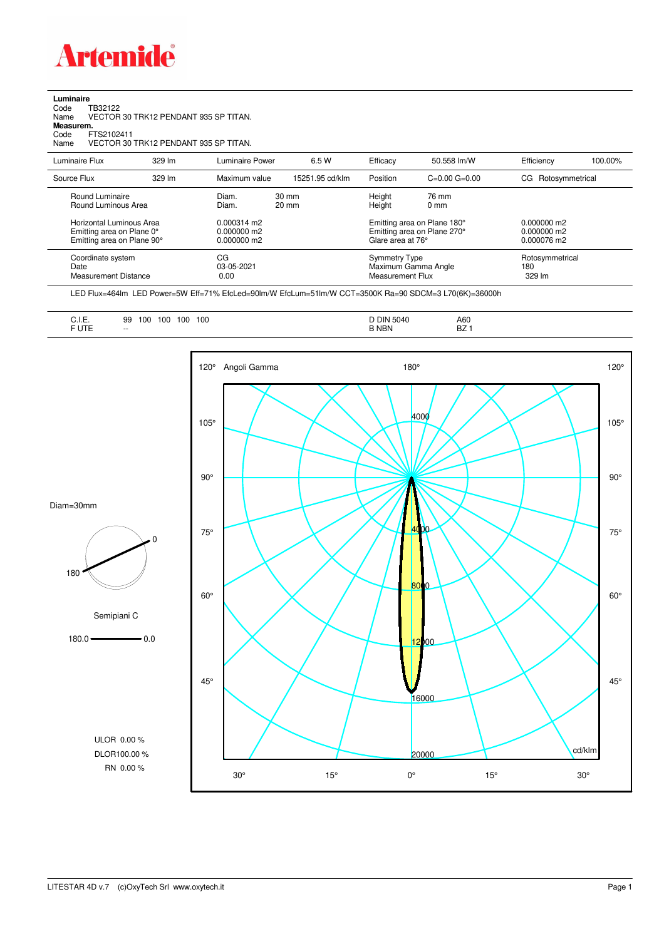

| Luminaire |         |
|-----------|---------|
| Code      | TD2010' |

Code TB32122 Name VECTOR 30 TRK12 PENDANT 935 SP TITAN. Code TI<br>Name V<br>**Measurem.** 

Code FTS2102411<br>Name VECTOR 30 Name VECTOR 30 TRK12 PENDANT 935 SP TITAN.

| Luminaire Flux                                                                                  | 329 lm | Luminaire Power                                         | 6.5 W                              | Efficacy | 50.558 lm/W                                                                                               | Efficiency         | 100.00%                                         |  |
|-------------------------------------------------------------------------------------------------|--------|---------------------------------------------------------|------------------------------------|----------|-----------------------------------------------------------------------------------------------------------|--------------------|-------------------------------------------------|--|
| Source Flux                                                                                     | 329 lm | Maximum value                                           | 15251.95 cd/klm                    | Position | $C=0.00$ $G=0.00$                                                                                         | CG Rotosymmetrical |                                                 |  |
| Round Luminaire<br>Round Luminous Area<br>Horizontal Luminous Area<br>Emitting area on Plane 0° |        | Diam.<br>Diam.<br>$0.000314 \text{ m}$<br>$0.000000$ m2 | $30 \text{ mm}$<br>$20 \text{ mm}$ |          | Height<br>76 mm<br>Height<br>$0 \text{ mm}$<br>Emitting area on Plane 180°<br>Emitting area on Plane 270° |                    |                                                 |  |
| Emitting area on Plane 90°<br>Coordinate system<br>Date<br><b>Measurement Distance</b>          |        | $0.000000$ m2<br>CG<br>03-05-2021<br>0.00               |                                    |          | Glare area at 76°<br><b>Symmetry Type</b><br>Maximum Gamma Angle<br>Measurement Flux                      |                    | 0.000076 m2<br>Rotosymmetrical<br>180<br>329 lm |  |

LED Flux=464lm LED Power=5W Eff=71% EfcLed=90lm/W EfcLum=51lm/W CCT=3500K Ra=90 SDCM=3 L70(6K)=36000h